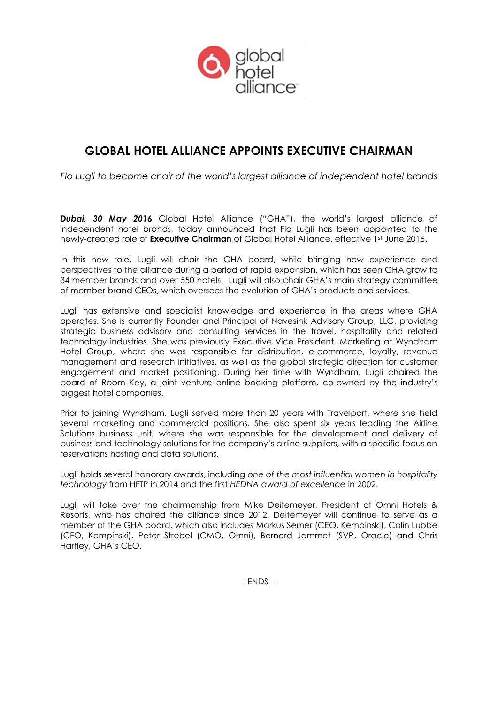

# **GLOBAL HOTEL ALLIANCE APPOINTS EXECUTIVE CHAIRMAN**

*Flo Lugli to become chair of the world's largest alliance of independent hotel brands*

*Dubai, 30 May 2016* Global Hotel Alliance ("GHA"), the world's largest alliance of independent hotel brands, today announced that Flo Lugli has been appointed to the newly-created role of **Executive Chairman** of Global Hotel Alliance, effective 1st June 2016.

In this new role, Lugli will chair the GHA board, while bringing new experience and perspectives to the alliance during a period of rapid expansion, which has seen GHA grow to 34 member brands and over 550 hotels. Lugli will also chair GHA's main strategy committee of member brand CEOs, which oversees the evolution of GHA's products and services.

Lugli has extensive and specialist knowledge and experience in the areas where GHA operates. She is currently Founder and Principal of Navesink Advisory Group, LLC, providing strategic business advisory and consulting services in the travel, hospitality and related technology industries. She was previously Executive Vice President, Marketing at Wyndham Hotel Group, where she was responsible for distribution, e-commerce, loyalty, revenue management and research initiatives, as well as the global strategic direction for customer engagement and market positioning. During her time with Wyndham, Lugli chaired the board of Room Key, a joint venture online booking platform, co-owned by the industry's biggest hotel companies.

Prior to joining Wyndham, Lugli served more than 20 years with Travelport, where she held several marketing and commercial positions. She also spent six years leading the Airline Solutions business unit, where she was responsible for the development and delivery of business and technology solutions for the company's airline suppliers, with a specific focus on reservations hosting and data solutions.

Lugli holds several honorary awards, including *one of the most influential women in hospitality technology* from HFTP in 2014 and the first *HEDNA award of excellence* in 2002.

Lugli will take over the chairmanship from Mike Deitemeyer, President of Omni Hotels & Resorts, who has chaired the alliance since 2012. Deitemeyer will continue to serve as a member of the GHA board, which also includes Markus Semer (CEO, Kempinski), Colin Lubbe (CFO, Kempinski), Peter Strebel (CMO, Omni), Bernard Jammet (SVP, Oracle) and Chris Hartley, GHA's CEO.

– ENDS –